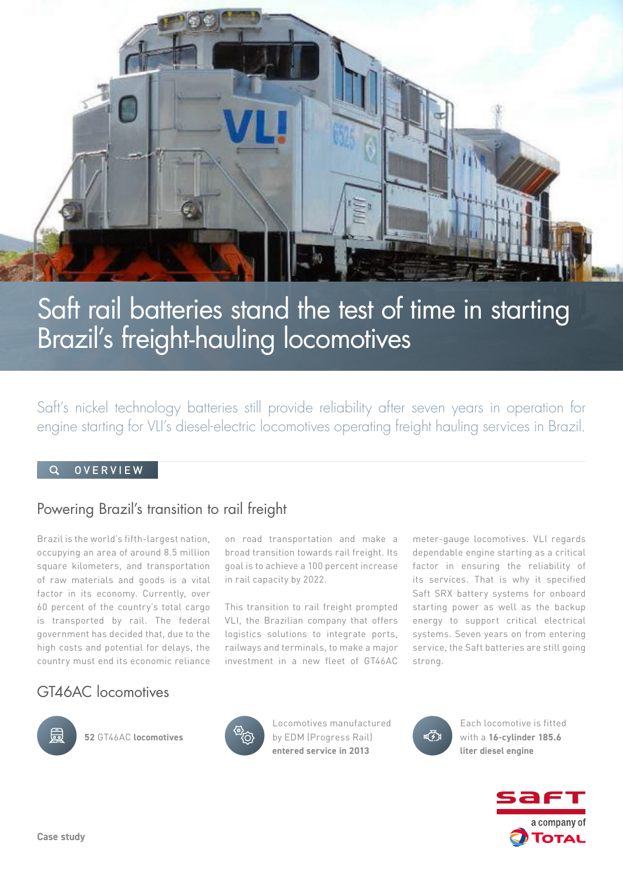

# Saft rail batteries stand the test of time in starting Brazil's freight-hauling locomotives

Saft's nickel technology batteries still provide reliability after seven years in operation for engine starting for VLI's diesel-electric locomotives operating freight hauling services in Brazil.

#### **OVERVIEW**

## Powering Brazil's transition to rail freight

Brazil is the world's fifth-largest nation, occupying an area of around 8.5 million square kilometers, and transportation of raw materials and goods is a vital factor in its economy. Currently, over 60 percent of the country's total cargo is transported by rail. The federal government has decided that, due to the high costs and potential for delays, the country must end its economic reliance

on road transportation and make a broad transition towards rail freight. Its goal is to achieve a 100 percent increase in rail capacity by 2022.

This transition to rail freight prompted VLI, the Brazilian company that offers logistics solutions to integrate ports, railways and terminals, to make a major investment in a new fleet of GT46AC

meter-gauge locomotives. VLI regards dependable engine starting as a critical factor in ensuring the reliability of its services. That is why it specified Saft SRX battery systems for onboard starting power as well as the backup energy to support critical electrical systems. Seven years on from entering service, the Saft batteries are still going strong.

## GT46AC locomotives



**52** GT46AC **locomotives** 



Locomotives manufactured by EDM (Progress Rail) **entered service in 2013**



Each locomotive is fitted with a **16-cylinder 185.6 liter diesel engine**